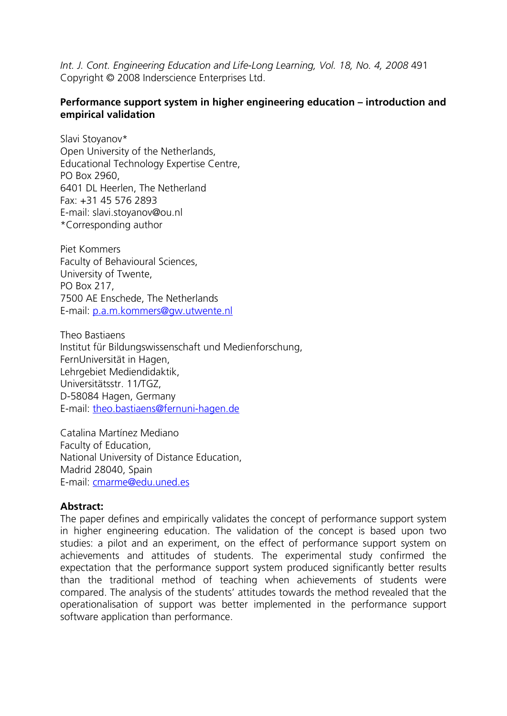*Int. J. Cont. Engineering Education and Life-Long Learning, Vol. 18, No. 4, 2008* 491 Copyright © 2008 Inderscience Enterprises Ltd.

#### **Performance support system in higher engineering education – introduction and empirical validation**

Slavi Stoyanov\* Open University of the Netherlands, Educational Technology Expertise Centre, PO Box 2960, 6401 DL Heerlen, The Netherland Fax: +31 45 576 2893 E-mail: slavi.stoyanov@ou.nl \*Corresponding author

Piet Kommers Faculty of Behavioural Sciences, University of Twente, PO Box 217, 7500 AE Enschede, The Netherlands E-mail: p.a.m.kommers@gw.utwente.nl

Theo Bastiaens Institut für Bildungswissenschaft und Medienforschung, FernUniversität in Hagen, Lehrgebiet Mediendidaktik, Universitätsstr. 11/TGZ, D-58084 Hagen, Germany E-mail: theo.bastiaens@fernuni-hagen.de

Catalina Martínez Mediano Faculty of Education, National University of Distance Education, Madrid 28040, Spain E-mail: cmarme@edu.uned.es

#### **Abstract:**

The paper defines and empirically validates the concept of performance support system in higher engineering education. The validation of the concept is based upon two studies: a pilot and an experiment, on the effect of performance support system on achievements and attitudes of students. The experimental study confirmed the expectation that the performance support system produced significantly better results than the traditional method of teaching when achievements of students were compared. The analysis of the students' attitudes towards the method revealed that the operationalisation of support was better implemented in the performance support software application than performance.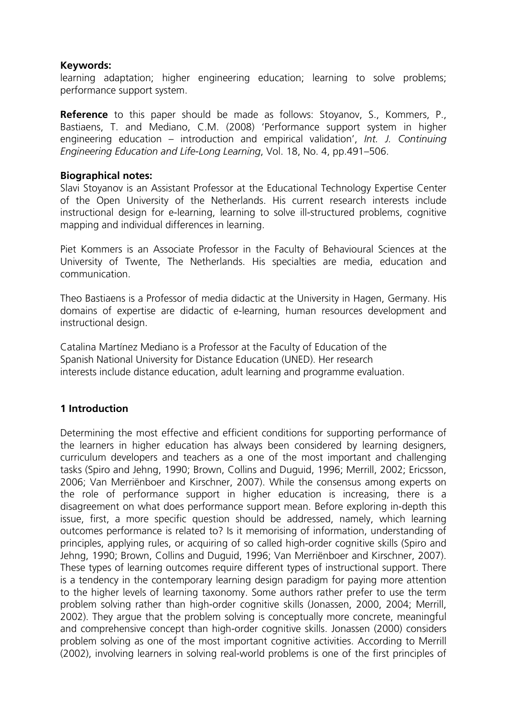#### **Keywords:**

learning adaptation; higher engineering education; learning to solve problems; performance support system.

**Reference** to this paper should be made as follows: Stoyanov, S., Kommers, P., Bastiaens, T. and Mediano, C.M. (2008) 'Performance support system in higher engineering education – introduction and empirical validation', *Int. J. Continuing Engineering Education and Life-Long Learning*, Vol. 18, No. 4, pp.491–506.

#### **Biographical notes:**

Slavi Stoyanov is an Assistant Professor at the Educational Technology Expertise Center of the Open University of the Netherlands. His current research interests include instructional design for e-learning, learning to solve ill-structured problems, cognitive mapping and individual differences in learning.

Piet Kommers is an Associate Professor in the Faculty of Behavioural Sciences at the University of Twente, The Netherlands. His specialties are media, education and communication.

Theo Bastiaens is a Professor of media didactic at the University in Hagen, Germany. His domains of expertise are didactic of e-learning, human resources development and instructional design.

Catalina Martínez Mediano is a Professor at the Faculty of Education of the Spanish National University for Distance Education (UNED). Her research interests include distance education, adult learning and programme evaluation.

# **1 Introduction**

Determining the most effective and efficient conditions for supporting performance of the learners in higher education has always been considered by learning designers, curriculum developers and teachers as a one of the most important and challenging tasks (Spiro and Jehng, 1990; Brown, Collins and Duguid, 1996; Merrill, 2002; Ericsson, 2006; Van Merriënboer and Kirschner, 2007). While the consensus among experts on the role of performance support in higher education is increasing, there is a disagreement on what does performance support mean. Before exploring in-depth this issue, first, a more specific question should be addressed, namely, which learning outcomes performance is related to? Is it memorising of information, understanding of principles, applying rules, or acquiring of so called high-order cognitive skills (Spiro and Jehng, 1990; Brown, Collins and Duguid, 1996; Van Merriënboer and Kirschner, 2007). These types of learning outcomes require different types of instructional support. There is a tendency in the contemporary learning design paradigm for paying more attention to the higher levels of learning taxonomy. Some authors rather prefer to use the term problem solving rather than high-order cognitive skills (Jonassen, 2000, 2004; Merrill, 2002). They argue that the problem solving is conceptually more concrete, meaningful and comprehensive concept than high-order cognitive skills. Jonassen (2000) considers problem solving as one of the most important cognitive activities. According to Merrill (2002), involving learners in solving real-world problems is one of the first principles of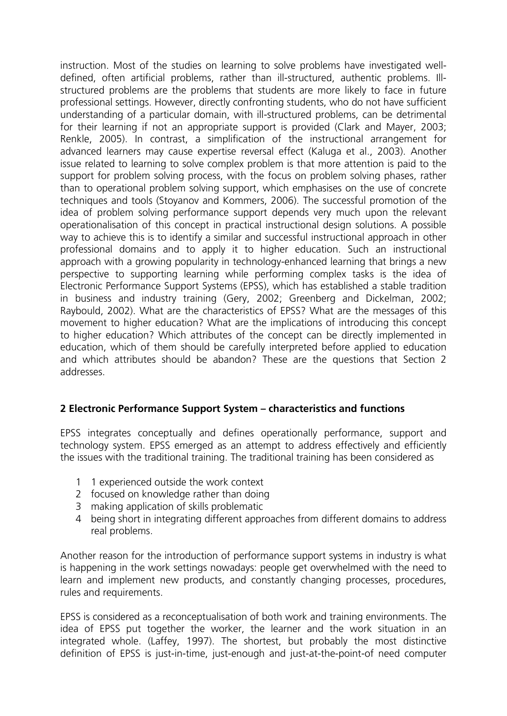instruction. Most of the studies on learning to solve problems have investigated welldefined, often artificial problems, rather than ill-structured, authentic problems. Illstructured problems are the problems that students are more likely to face in future professional settings. However, directly confronting students, who do not have sufficient understanding of a particular domain, with ill-structured problems, can be detrimental for their learning if not an appropriate support is provided (Clark and Mayer, 2003; Renkle, 2005). In contrast, a simplification of the instructional arrangement for advanced learners may cause expertise reversal effect (Kaluga et al., 2003). Another issue related to learning to solve complex problem is that more attention is paid to the support for problem solving process, with the focus on problem solving phases, rather than to operational problem solving support, which emphasises on the use of concrete techniques and tools (Stoyanov and Kommers, 2006). The successful promotion of the idea of problem solving performance support depends very much upon the relevant operationalisation of this concept in practical instructional design solutions. A possible way to achieve this is to identify a similar and successful instructional approach in other professional domains and to apply it to higher education. Such an instructional approach with a growing popularity in technology-enhanced learning that brings a new perspective to supporting learning while performing complex tasks is the idea of Electronic Performance Support Systems (EPSS), which has established a stable tradition in business and industry training (Gery, 2002; Greenberg and Dickelman, 2002; Raybould, 2002). What are the characteristics of EPSS? What are the messages of this movement to higher education? What are the implications of introducing this concept to higher education? Which attributes of the concept can be directly implemented in education, which of them should be carefully interpreted before applied to education and which attributes should be abandon? These are the questions that Section 2 addresses.

# **2 Electronic Performance Support System – characteristics and functions**

EPSS integrates conceptually and defines operationally performance, support and technology system. EPSS emerged as an attempt to address effectively and efficiently the issues with the traditional training. The traditional training has been considered as

- 1 1 experienced outside the work context
- 2 focused on knowledge rather than doing
- 3 making application of skills problematic
- 4 being short in integrating different approaches from different domains to address real problems.

Another reason for the introduction of performance support systems in industry is what is happening in the work settings nowadays: people get overwhelmed with the need to learn and implement new products, and constantly changing processes, procedures, rules and requirements.

EPSS is considered as a reconceptualisation of both work and training environments. The idea of EPSS put together the worker, the learner and the work situation in an integrated whole. (Laffey, 1997). The shortest, but probably the most distinctive definition of EPSS is just-in-time, just-enough and just-at-the-point-of need computer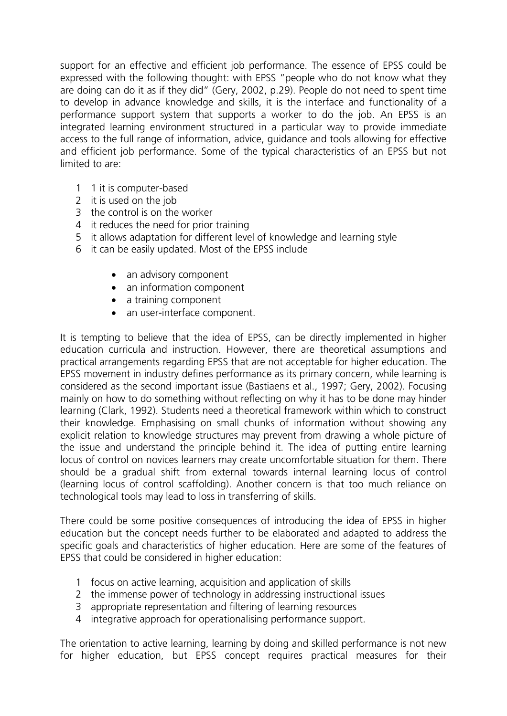support for an effective and efficient job performance. The essence of EPSS could be expressed with the following thought: with EPSS "people who do not know what they are doing can do it as if they did" (Gery, 2002, p.29). People do not need to spent time to develop in advance knowledge and skills, it is the interface and functionality of a performance support system that supports a worker to do the job. An EPSS is an integrated learning environment structured in a particular way to provide immediate access to the full range of information, advice, guidance and tools allowing for effective and efficient job performance. Some of the typical characteristics of an EPSS but not limited to are:

- 1 1 it is computer-based
- 2 it is used on the job
- 3 the control is on the worker
- 4 it reduces the need for prior training
- 5 it allows adaptation for different level of knowledge and learning style
- 6 it can be easily updated. Most of the EPSS include
	- an advisory component
	- an information component
	- a training component
	- an user-interface component.

It is tempting to believe that the idea of EPSS, can be directly implemented in higher education curricula and instruction. However, there are theoretical assumptions and practical arrangements regarding EPSS that are not acceptable for higher education. The EPSS movement in industry defines performance as its primary concern, while learning is considered as the second important issue (Bastiaens et al., 1997; Gery, 2002). Focusing mainly on how to do something without reflecting on why it has to be done may hinder learning (Clark, 1992). Students need a theoretical framework within which to construct their knowledge. Emphasising on small chunks of information without showing any explicit relation to knowledge structures may prevent from drawing a whole picture of the issue and understand the principle behind it. The idea of putting entire learning locus of control on novices learners may create uncomfortable situation for them. There should be a gradual shift from external towards internal learning locus of control (learning locus of control scaffolding). Another concern is that too much reliance on technological tools may lead to loss in transferring of skills.

There could be some positive consequences of introducing the idea of EPSS in higher education but the concept needs further to be elaborated and adapted to address the specific goals and characteristics of higher education. Here are some of the features of EPSS that could be considered in higher education:

- 1 focus on active learning, acquisition and application of skills
- 2 the immense power of technology in addressing instructional issues
- 3 appropriate representation and filtering of learning resources
- 4 integrative approach for operationalising performance support.

The orientation to active learning, learning by doing and skilled performance is not new for higher education, but EPSS concept requires practical measures for their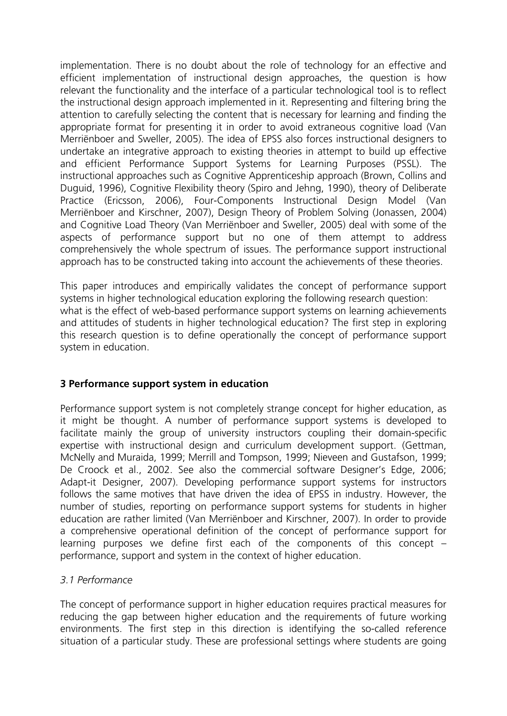implementation. There is no doubt about the role of technology for an effective and efficient implementation of instructional design approaches, the question is how relevant the functionality and the interface of a particular technological tool is to reflect the instructional design approach implemented in it. Representing and filtering bring the attention to carefully selecting the content that is necessary for learning and finding the appropriate format for presenting it in order to avoid extraneous cognitive load (Van Merriënboer and Sweller, 2005). The idea of EPSS also forces instructional designers to undertake an integrative approach to existing theories in attempt to build up effective and efficient Performance Support Systems for Learning Purposes (PSSL). The instructional approaches such as Cognitive Apprenticeship approach (Brown, Collins and Duguid, 1996), Cognitive Flexibility theory (Spiro and Jehng, 1990), theory of Deliberate Practice (Ericsson, 2006), Four-Components Instructional Design Model (Van Merriënboer and Kirschner, 2007), Design Theory of Problem Solving (Jonassen, 2004) and Cognitive Load Theory (Van Merriënboer and Sweller, 2005) deal with some of the aspects of performance support but no one of them attempt to address comprehensively the whole spectrum of issues. The performance support instructional approach has to be constructed taking into account the achievements of these theories.

This paper introduces and empirically validates the concept of performance support systems in higher technological education exploring the following research question: what is the effect of web-based performance support systems on learning achievements and attitudes of students in higher technological education? The first step in exploring this research question is to define operationally the concept of performance support system in education.

# **3 Performance support system in education**

Performance support system is not completely strange concept for higher education, as it might be thought. A number of performance support systems is developed to facilitate mainly the group of university instructors coupling their domain-specific expertise with instructional design and curriculum development support. (Gettman, McNelly and Muraida, 1999; Merrill and Tompson, 1999; Nieveen and Gustafson, 1999; De Croock et al., 2002. See also the commercial software Designer's Edge, 2006; Adapt-it Designer, 2007). Developing performance support systems for instructors follows the same motives that have driven the idea of EPSS in industry. However, the number of studies, reporting on performance support systems for students in higher education are rather limited (Van Merriënboer and Kirschner, 2007). In order to provide a comprehensive operational definition of the concept of performance support for learning purposes we define first each of the components of this concept – performance, support and system in the context of higher education.

# *3.1 Performance*

The concept of performance support in higher education requires practical measures for reducing the gap between higher education and the requirements of future working environments. The first step in this direction is identifying the so-called reference situation of a particular study. These are professional settings where students are going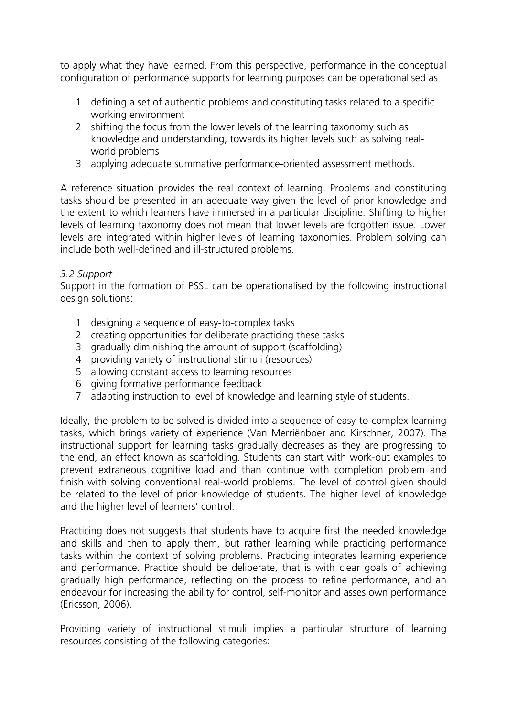to apply what they have learned. From this perspective, performance in the conceptual configuration of performance supports for learning purposes can be operationalised as

- 1 defining a set of authentic problems and constituting tasks related to a specific working environment
- 2 shifting the focus from the lower levels of the learning taxonomy such as knowledge and understanding, towards its higher levels such as solving realworld problems
- 3 applying adequate summative performance-oriented assessment methods.

A reference situation provides the real context of learning. Problems and constituting tasks should be presented in an adequate way given the level of prior knowledge and the extent to which learners have immersed in a particular discipline. Shifting to higher levels of learning taxonomy does not mean that lower levels are forgotten issue. Lower levels are integrated within higher levels of learning taxonomies. Problem solving can include both well-defined and ill-structured problems.

#### *3.2 Support*

Support in the formation of PSSL can be operationalised by the following instructional design solutions:

- 1 designing a sequence of easy-to-complex tasks
- 2 creating opportunities for deliberate practicing these tasks
- 3 gradually diminishing the amount of support (scaffolding)
- 4 providing variety of instructional stimuli (resources)
- 5 allowing constant access to learning resources
- 6 giving formative performance feedback
- 7 adapting instruction to level of knowledge and learning style of students.

Ideally, the problem to be solved is divided into a sequence of easy-to-complex learning tasks, which brings variety of experience (Van Merriënboer and Kirschner, 2007). The instructional support for learning tasks gradually decreases as they are progressing to the end, an effect known as scaffolding. Students can start with work-out examples to prevent extraneous cognitive load and than continue with completion problem and finish with solving conventional real-world problems. The level of control given should be related to the level of prior knowledge of students. The higher level of knowledge and the higher level of learners' control.

Practicing does not suggests that students have to acquire first the needed knowledge and skills and then to apply them, but rather learning while practicing performance tasks within the context of solving problems. Practicing integrates learning experience and performance. Practice should be deliberate, that is with clear goals of achieving gradually high performance, reflecting on the process to refine performance, and an endeavour for increasing the ability for control, self-monitor and asses own performance (Ericsson, 2006).

Providing variety of instructional stimuli implies a particular structure of learning resources consisting of the following categories: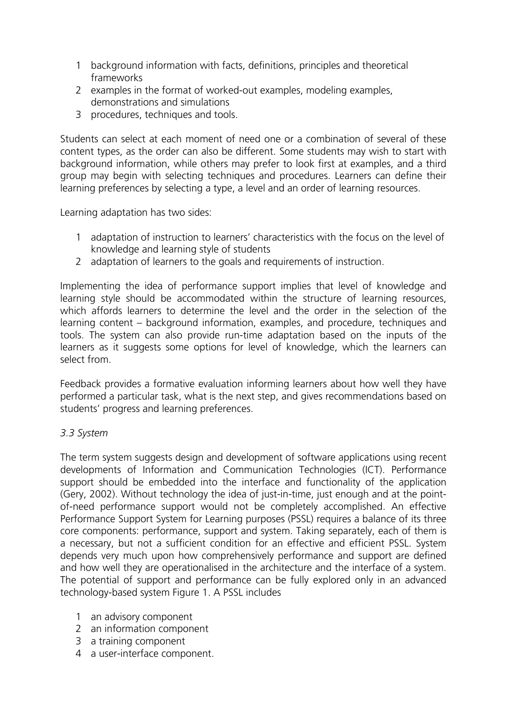- 1 background information with facts, definitions, principles and theoretical frameworks
- 2 examples in the format of worked-out examples, modeling examples, demonstrations and simulations
- 3 procedures, techniques and tools.

Students can select at each moment of need one or a combination of several of these content types, as the order can also be different. Some students may wish to start with background information, while others may prefer to look first at examples, and a third group may begin with selecting techniques and procedures. Learners can define their learning preferences by selecting a type, a level and an order of learning resources.

Learning adaptation has two sides:

- 1 adaptation of instruction to learners' characteristics with the focus on the level of knowledge and learning style of students
- 2 adaptation of learners to the goals and requirements of instruction.

Implementing the idea of performance support implies that level of knowledge and learning style should be accommodated within the structure of learning resources, which affords learners to determine the level and the order in the selection of the learning content – background information, examples, and procedure, techniques and tools. The system can also provide run-time adaptation based on the inputs of the learners as it suggests some options for level of knowledge, which the learners can select from.

Feedback provides a formative evaluation informing learners about how well they have performed a particular task, what is the next step, and gives recommendations based on students' progress and learning preferences.

# *3.3 System*

The term system suggests design and development of software applications using recent developments of Information and Communication Technologies (ICT). Performance support should be embedded into the interface and functionality of the application (Gery, 2002). Without technology the idea of just-in-time, just enough and at the pointof-need performance support would not be completely accomplished. An effective Performance Support System for Learning purposes (PSSL) requires a balance of its three core components: performance, support and system. Taking separately, each of them is a necessary, but not a sufficient condition for an effective and efficient PSSL. System depends very much upon how comprehensively performance and support are defined and how well they are operationalised in the architecture and the interface of a system. The potential of support and performance can be fully explored only in an advanced technology-based system Figure 1. A PSSL includes

- 1 an advisory component
- 2 an information component
- 3 a training component
- 4 a user-interface component.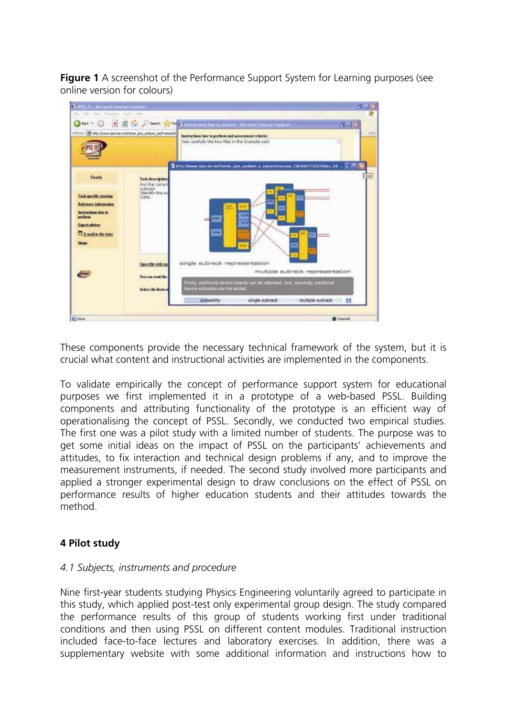**Figure 1** A screenshot of the Performance Support System for Learning purposes (see online version for colours)



These components provide the necessary technical framework of the system, but it is crucial what content and instructional activities are implemented in the components.

To validate empirically the concept of performance support system for educational purposes we first implemented it in a prototype of a web-based PSSL. Building components and attributing functionality of the prototype is an efficient way of operationalising the concept of PSSL. Secondly, we conducted two empirical studies. The first one was a pilot study with a limited number of students. The purpose was to get some initial ideas on the impact of PSSL on the participants' achievements and attitudes, to fix interaction and technical design problems if any, and to improve the measurement instruments, if needed. The second study involved more participants and applied a stronger experimental design to draw conclusions on the effect of PSSL on performance results of higher education students and their attitudes towards the method.

# **4 Pilot study**

# *4.1 Subjects, instruments and procedure*

Nine first-year students studying Physics Engineering voluntarily agreed to participate in this study, which applied post-test only experimental group design. The study compared the performance results of this group of students working first under traditional conditions and then using PSSL on different content modules. Traditional instruction included face-to-face lectures and laboratory exercises. In addition, there was a supplementary website with some additional information and instructions how to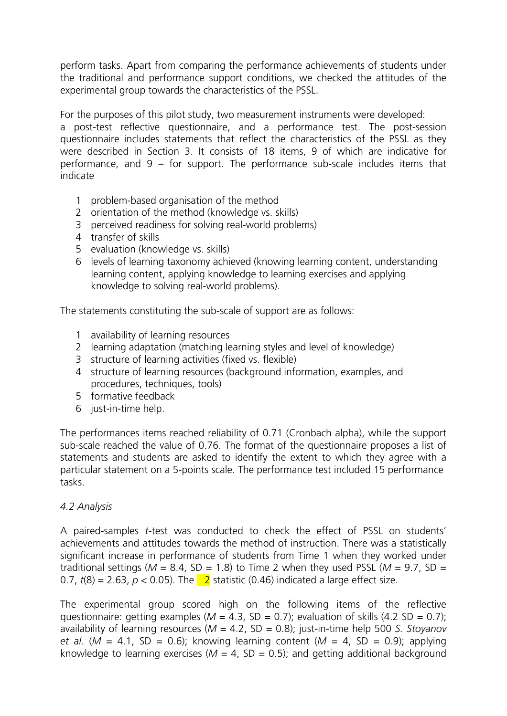perform tasks. Apart from comparing the performance achievements of students under the traditional and performance support conditions, we checked the attitudes of the experimental group towards the characteristics of the PSSL.

For the purposes of this pilot study, two measurement instruments were developed:

a post-test reflective questionnaire, and a performance test. The post-session questionnaire includes statements that reflect the characteristics of the PSSL as they were described in Section 3. It consists of 18 items, 9 of which are indicative for performance, and 9 – for support. The performance sub-scale includes items that indicate

- 1 problem-based organisation of the method
- 2 orientation of the method (knowledge vs. skills)
- 3 perceived readiness for solving real-world problems)
- 4 transfer of skills
- 5 evaluation (knowledge vs. skills)
- 6 levels of learning taxonomy achieved (knowing learning content, understanding learning content, applying knowledge to learning exercises and applying knowledge to solving real-world problems).

The statements constituting the sub-scale of support are as follows:

- 1 availability of learning resources
- 2 learning adaptation (matching learning styles and level of knowledge)
- 3 structure of learning activities (fixed vs. flexible)
- 4 structure of learning resources (background information, examples, and procedures, techniques, tools)
- 5 formative feedback
- 6 just-in-time help.

The performances items reached reliability of 0.71 (Cronbach alpha), while the support sub-scale reached the value of 0.76. The format of the questionnaire proposes a list of statements and students are asked to identify the extent to which they agree with a particular statement on a 5-points scale. The performance test included 15 performance tasks.

# *4.2 Analysis*

A paired-samples *t*-test was conducted to check the effect of PSSL on students' achievements and attitudes towards the method of instruction. There was a statistically significant increase in performance of students from Time 1 when they worked under traditional settings ( $M = 8.4$ , SD = 1.8) to Time 2 when they used PSSL ( $M = 9.7$ , SD = 0.7,  $t(8) = 2.63$ ,  $p < 0.05$ ). The  $\frac{2}{5}$  statistic (0.46) indicated a large effect size.

The experimental group scored high on the following items of the reflective questionnaire: getting examples ( $M = 4.3$ , SD = 0.7); evaluation of skills (4.2 SD = 0.7); availability of learning resources (*M* = 4.2, SD = 0.8); just-in-time help 500 *S. Stoyanov et al.*  $(M = 4.1, SD = 0.6)$ ; knowing learning content  $(M = 4, SD = 0.9)$ ; applying knowledge to learning exercises ( $M = 4$ , SD = 0.5); and getting additional background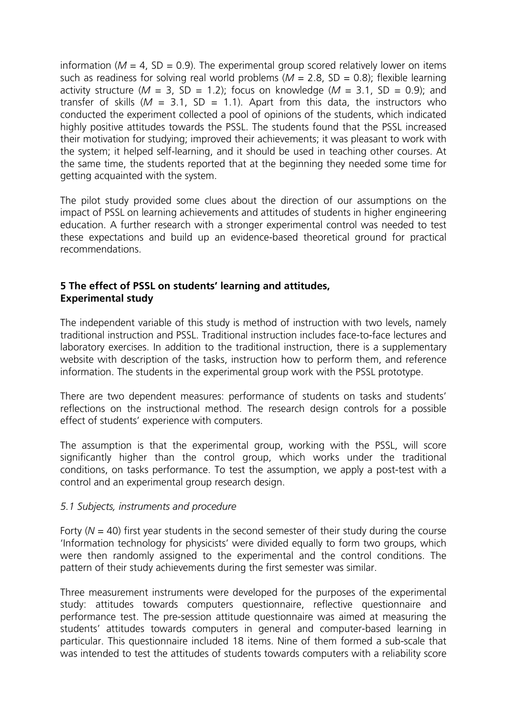information ( $M = 4$ , SD = 0.9). The experimental group scored relatively lower on items such as readiness for solving real world problems ( $M = 2.8$ , SD = 0.8); flexible learning activity structure ( $M = 3$ , SD = 1.2); focus on knowledge ( $M = 3.1$ , SD = 0.9); and transfer of skills ( $M = 3.1$ , SD = 1.1). Apart from this data, the instructors who conducted the experiment collected a pool of opinions of the students, which indicated highly positive attitudes towards the PSSL. The students found that the PSSL increased their motivation for studying; improved their achievements; it was pleasant to work with the system; it helped self-learning, and it should be used in teaching other courses. At the same time, the students reported that at the beginning they needed some time for getting acquainted with the system.

The pilot study provided some clues about the direction of our assumptions on the impact of PSSL on learning achievements and attitudes of students in higher engineering education. A further research with a stronger experimental control was needed to test these expectations and build up an evidence-based theoretical ground for practical recommendations.

# **5 The effect of PSSL on students' learning and attitudes, Experimental study**

The independent variable of this study is method of instruction with two levels, namely traditional instruction and PSSL. Traditional instruction includes face-to-face lectures and laboratory exercises. In addition to the traditional instruction, there is a supplementary website with description of the tasks, instruction how to perform them, and reference information. The students in the experimental group work with the PSSL prototype.

There are two dependent measures: performance of students on tasks and students' reflections on the instructional method. The research design controls for a possible effect of students' experience with computers.

The assumption is that the experimental group, working with the PSSL, will score significantly higher than the control group, which works under the traditional conditions, on tasks performance. To test the assumption, we apply a post-test with a control and an experimental group research design.

#### *5.1 Subjects, instruments and procedure*

Forty ( $N = 40$ ) first year students in the second semester of their study during the course 'Information technology for physicists' were divided equally to form two groups, which were then randomly assigned to the experimental and the control conditions. The pattern of their study achievements during the first semester was similar.

Three measurement instruments were developed for the purposes of the experimental study: attitudes towards computers questionnaire, reflective questionnaire and performance test. The pre-session attitude questionnaire was aimed at measuring the students' attitudes towards computers in general and computer-based learning in particular. This questionnaire included 18 items. Nine of them formed a sub-scale that was intended to test the attitudes of students towards computers with a reliability score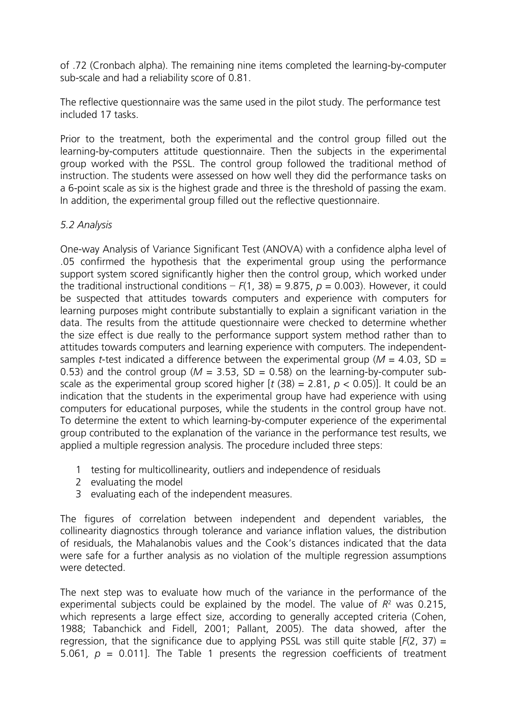of .72 (Cronbach alpha). The remaining nine items completed the learning-by-computer sub-scale and had a reliability score of 0.81.

The reflective questionnaire was the same used in the pilot study. The performance test included 17 tasks.

Prior to the treatment, both the experimental and the control group filled out the learning-by-computers attitude questionnaire. Then the subjects in the experimental group worked with the PSSL. The control group followed the traditional method of instruction. The students were assessed on how well they did the performance tasks on a 6-point scale as six is the highest grade and three is the threshold of passing the exam. In addition, the experimental group filled out the reflective questionnaire.

# *5.2 Analysis*

One-way Analysis of Variance Significant Test (ANOVA) with a confidence alpha level of .05 confirmed the hypothesis that the experimental group using the performance support system scored significantly higher then the control group, which worked under the traditional instructional conditions − *F*(1, 38) = 9.875, *p* = 0.003). However, it could be suspected that attitudes towards computers and experience with computers for learning purposes might contribute substantially to explain a significant variation in the data. The results from the attitude questionnaire were checked to determine whether the size effect is due really to the performance support system method rather than to attitudes towards computers and learning experience with computers. The independentsamples *t*-test indicated a difference between the experimental group ( $M = 4.03$ , SD = 0.53) and the control group ( $M = 3.53$ , SD = 0.58) on the learning-by-computer subscale as the experimental group scored higher  $[t (38) = 2.81, p < 0.05]$ . It could be an indication that the students in the experimental group have had experience with using computers for educational purposes, while the students in the control group have not. To determine the extent to which learning-by-computer experience of the experimental group contributed to the explanation of the variance in the performance test results, we applied a multiple regression analysis. The procedure included three steps:

- 1 testing for multicollinearity, outliers and independence of residuals
- 2 evaluating the model
- 3 evaluating each of the independent measures.

The figures of correlation between independent and dependent variables, the collinearity diagnostics through tolerance and variance inflation values, the distribution of residuals, the Mahalanobis values and the Cook's distances indicated that the data were safe for a further analysis as no violation of the multiple regression assumptions were detected.

The next step was to evaluate how much of the variance in the performance of the experimental subjects could be explained by the model. The value of  $R<sup>2</sup>$  was 0.215, which represents a large effect size, according to generally accepted criteria (Cohen, 1988; Tabanchick and Fidell, 2001; Pallant, 2005). The data showed, after the regression, that the significance due to applying PSSL was still quite stable  $[F(2, 37) =$ 5.061,  $p = 0.011$ ]. The Table 1 presents the regression coefficients of treatment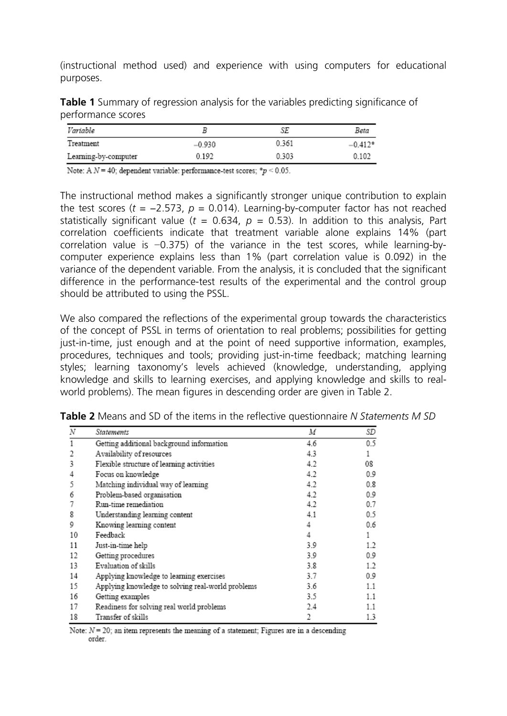(instructional method used) and experience with using computers for educational purposes.

| Table 1 Summary of regression analysis for the variables predicting significance of |  |
|-------------------------------------------------------------------------------------|--|
| performance scores                                                                  |  |

| Variable             |        | SE    | Beta      |
|----------------------|--------|-------|-----------|
| Treatment            | -0.930 | 0.361 | $-0.412*$ |
| Learning-by-computer | 0.192  | 0.303 | 0.102     |

Note: A  $N = 40$ ; dependent variable: performance-test scores; \* $p < 0.05$ .

The instructional method makes a significantly stronger unique contribution to explain the test scores  $(t = -2.573, p = 0.014)$ . Learning-by-computer factor has not reached statistically significant value ( $t = 0.634$ ,  $p = 0.53$ ). In addition to this analysis, Part correlation coefficients indicate that treatment variable alone explains 14% (part correlation value is −0.375) of the variance in the test scores, while learning-bycomputer experience explains less than 1% (part correlation value is 0.092) in the variance of the dependent variable. From the analysis, it is concluded that the significant difference in the performance-test results of the experimental and the control group should be attributed to using the PSSL.

We also compared the reflections of the experimental group towards the characteristics of the concept of PSSL in terms of orientation to real problems; possibilities for getting just-in-time, just enough and at the point of need supportive information, examples, procedures, techniques and tools; providing just-in-time feedback; matching learning styles; learning taxonomy's levels achieved (knowledge, understanding, applying knowledge and skills to learning exercises, and applying knowledge and skills to realworld problems). The mean figures in descending order are given in Table 2.

| Ν  | Statements                                        | Μ   | SD  |
|----|---------------------------------------------------|-----|-----|
|    | Getting additional background information         | 4.6 | 0.5 |
| 2  | Availability of resources                         | 4.3 |     |
| 3  | Flexible structure of learning activities         | 4.2 | 08  |
| 4  | Focus on knowledge                                | 4.2 | 0.9 |
| 5  | Matching individual way of learning               | 4.2 | 0.8 |
| 6  | Problem-based organisation                        | 4.2 | 0.9 |
|    | Run-time remediation                              | 4.2 | 0.7 |
| 8  | Understanding learning content                    | 4.1 | 0.5 |
| 9  | Knowing learning content                          | 4   | 0.6 |
| 10 | Feedback                                          | 4   | 1   |
| 11 | Just-in-time help                                 | 3.9 | 1.2 |
| 12 | Getting procedures                                | 3.9 | 0.9 |
| 13 | Evaluation of skills                              | 3.8 | 1.2 |
| 14 | Applying knowledge to learning exercises          | 3.7 | 0.9 |
| 15 | Applying knowledge to solving real-world problems | 3.6 | 1.1 |
| 16 | Getting examples                                  | 3.5 | 1.1 |
| 17 | Readiness for solving real world problems         | 2.4 | 1.1 |
| 18 | Transfer of skills                                | 2   | 1.3 |

**Table 2** Means and SD of the items in the reflective questionnaire *N Statements M SD* 

Note:  $N = 20$ ; an item represents the meaning of a statement; Figures are in a descending order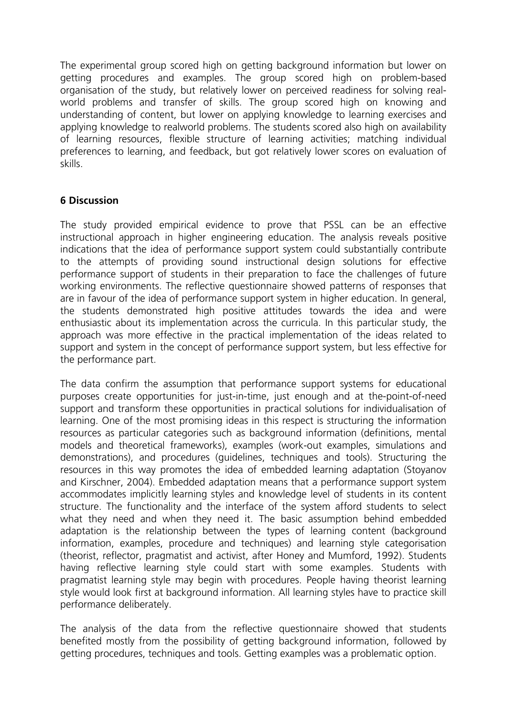The experimental group scored high on getting background information but lower on getting procedures and examples. The group scored high on problem-based organisation of the study, but relatively lower on perceived readiness for solving realworld problems and transfer of skills. The group scored high on knowing and understanding of content, but lower on applying knowledge to learning exercises and applying knowledge to realworld problems. The students scored also high on availability of learning resources, flexible structure of learning activities; matching individual preferences to learning, and feedback, but got relatively lower scores on evaluation of skills.

# **6 Discussion**

The study provided empirical evidence to prove that PSSL can be an effective instructional approach in higher engineering education. The analysis reveals positive indications that the idea of performance support system could substantially contribute to the attempts of providing sound instructional design solutions for effective performance support of students in their preparation to face the challenges of future working environments. The reflective questionnaire showed patterns of responses that are in favour of the idea of performance support system in higher education. In general, the students demonstrated high positive attitudes towards the idea and were enthusiastic about its implementation across the curricula. In this particular study, the approach was more effective in the practical implementation of the ideas related to support and system in the concept of performance support system, but less effective for the performance part.

The data confirm the assumption that performance support systems for educational purposes create opportunities for just-in-time, just enough and at the-point-of-need support and transform these opportunities in practical solutions for individualisation of learning. One of the most promising ideas in this respect is structuring the information resources as particular categories such as background information (definitions, mental models and theoretical frameworks), examples (work-out examples, simulations and demonstrations), and procedures (guidelines, techniques and tools). Structuring the resources in this way promotes the idea of embedded learning adaptation (Stoyanov and Kirschner, 2004). Embedded adaptation means that a performance support system accommodates implicitly learning styles and knowledge level of students in its content structure. The functionality and the interface of the system afford students to select what they need and when they need it. The basic assumption behind embedded adaptation is the relationship between the types of learning content (background information, examples, procedure and techniques) and learning style categorisation (theorist, reflector, pragmatist and activist, after Honey and Mumford, 1992). Students having reflective learning style could start with some examples. Students with pragmatist learning style may begin with procedures. People having theorist learning style would look first at background information. All learning styles have to practice skill performance deliberately.

The analysis of the data from the reflective questionnaire showed that students benefited mostly from the possibility of getting background information, followed by getting procedures, techniques and tools. Getting examples was a problematic option.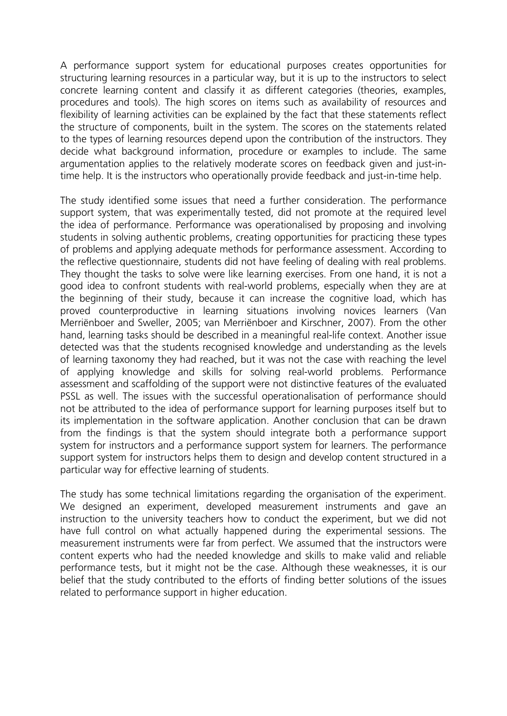A performance support system for educational purposes creates opportunities for structuring learning resources in a particular way, but it is up to the instructors to select concrete learning content and classify it as different categories (theories, examples, procedures and tools). The high scores on items such as availability of resources and flexibility of learning activities can be explained by the fact that these statements reflect the structure of components, built in the system. The scores on the statements related to the types of learning resources depend upon the contribution of the instructors. They decide what background information, procedure or examples to include. The same argumentation applies to the relatively moderate scores on feedback given and just-intime help. It is the instructors who operationally provide feedback and just-in-time help.

The study identified some issues that need a further consideration. The performance support system, that was experimentally tested, did not promote at the required level the idea of performance. Performance was operationalised by proposing and involving students in solving authentic problems, creating opportunities for practicing these types of problems and applying adequate methods for performance assessment. According to the reflective questionnaire, students did not have feeling of dealing with real problems. They thought the tasks to solve were like learning exercises. From one hand, it is not a good idea to confront students with real-world problems, especially when they are at the beginning of their study, because it can increase the cognitive load, which has proved counterproductive in learning situations involving novices learners (Van Merriënboer and Sweller, 2005; van Merriënboer and Kirschner, 2007). From the other hand, learning tasks should be described in a meaningful real-life context. Another issue detected was that the students recognised knowledge and understanding as the levels of learning taxonomy they had reached, but it was not the case with reaching the level of applying knowledge and skills for solving real-world problems. Performance assessment and scaffolding of the support were not distinctive features of the evaluated PSSL as well. The issues with the successful operationalisation of performance should not be attributed to the idea of performance support for learning purposes itself but to its implementation in the software application. Another conclusion that can be drawn from the findings is that the system should integrate both a performance support system for instructors and a performance support system for learners. The performance support system for instructors helps them to design and develop content structured in a particular way for effective learning of students.

The study has some technical limitations regarding the organisation of the experiment. We designed an experiment, developed measurement instruments and gave an instruction to the university teachers how to conduct the experiment, but we did not have full control on what actually happened during the experimental sessions. The measurement instruments were far from perfect. We assumed that the instructors were content experts who had the needed knowledge and skills to make valid and reliable performance tests, but it might not be the case. Although these weaknesses, it is our belief that the study contributed to the efforts of finding better solutions of the issues related to performance support in higher education.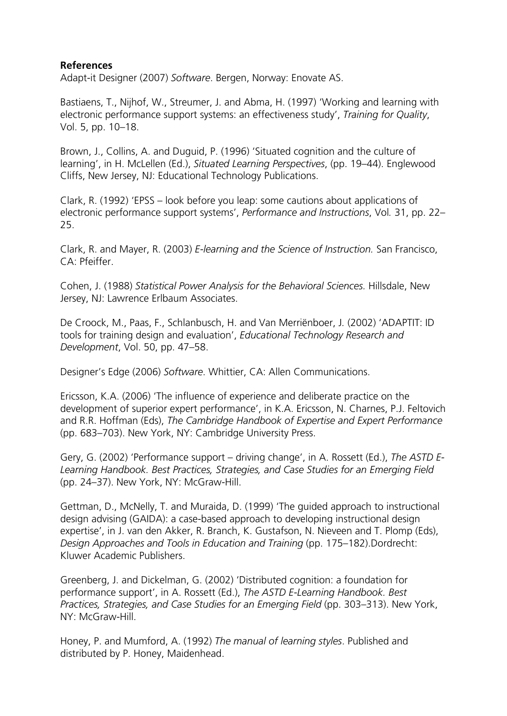#### **References**

Adapt-it Designer (2007) *Software*. Bergen, Norway: Enovate AS.

Bastiaens, T., Nijhof, W., Streumer, J. and Abma, H. (1997) 'Working and learning with electronic performance support systems: an effectiveness study', *Training for Quality*, Vol. 5, pp. 10–18.

Brown, J., Collins, A. and Duguid, P. (1996) 'Situated cognition and the culture of learning', in H. McLellen (Ed.), *Situated Learning Perspectives*, (pp. 19–44). Englewood Cliffs, New Jersey, NJ: Educational Technology Publications.

Clark, R. (1992) 'EPSS – look before you leap: some cautions about applications of electronic performance support systems', *Performance and Instructions*, Vol*.* 31, pp. 22– 25.

Clark, R. and Mayer, R. (2003) *E-learning and the Science of Instruction.* San Francisco, CA: Pfeiffer.

Cohen, J. (1988) *Statistical Power Analysis for the Behavioral Sciences.* Hillsdale, New Jersey, NJ: Lawrence Erlbaum Associates.

De Croock, M., Paas, F., Schlanbusch, H. and Van Merriënboer, J*.* (2002) 'ADAPTIT: ID tools for training design and evaluation', *Educational Technology Research and Development*, Vol. 50, pp. 47–58.

Designer's Edge (2006) *Software*. Whittier, CA: Allen Communications.

Ericsson, K.A. (2006) 'The influence of experience and deliberate practice on the development of superior expert performance', in K.A. Ericsson, N. Charnes, P.J. Feltovich and R.R. Hoffman (Eds), *The Cambridge Handbook of Expertise and Expert Performance*  (pp. 683–703). New York, NY: Cambridge University Press.

Gery, G. (2002) 'Performance support – driving change', in A. Rossett (Ed.), *The ASTD E-Learning Handbook. Best Practices, Strategies, and Case Studies for an Emerging Field*  (pp. 24–37). New York, NY: McGraw-Hill.

Gettman, D., McNelly, T. and Muraida, D. (1999) 'The guided approach to instructional design advising (GAIDA): a case-based approach to developing instructional design expertise', in J. van den Akker, R. Branch, K. Gustafson, N. Nieveen and T. Plomp (Eds), *Design Approaches and Tools in Education and Training* (pp. 175–182).Dordrecht: Kluwer Academic Publishers.

Greenberg, J. and Dickelman, G. (2002) 'Distributed cognition: a foundation for performance support', in A. Rossett (Ed.), *The ASTD E-Learning Handbook. Best Practices, Strategies, and Case Studies for an Emerging Field* (pp. 303–313). New York, NY: McGraw-Hill.

Honey, P. and Mumford, A. (1992) *The manual of learning styles*. Published and distributed by P. Honey, Maidenhead.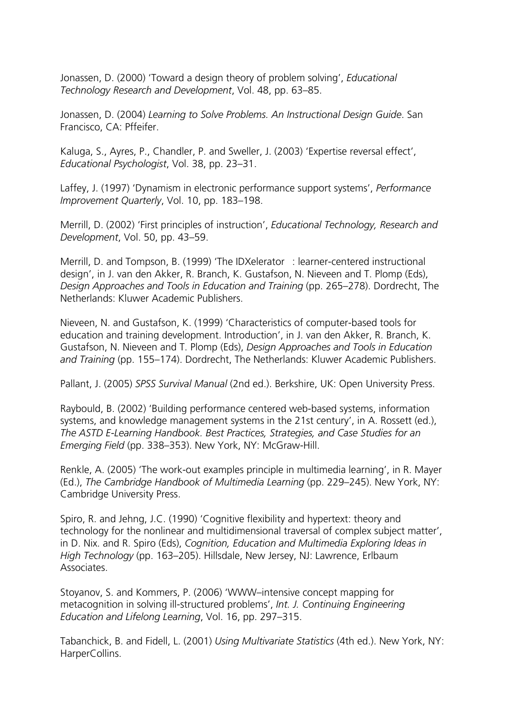Jonassen, D. (2000) 'Toward a design theory of problem solving', *Educational Technology Research and Development*, Vol. 48, pp. 63–85.

Jonassen, D. (2004) *Learning to Solve Problems. An Instructional Design Guide*. San Francisco, CA: Pffeifer.

Kaluga, S., Ayres, P., Chandler, P. and Sweller, J. (2003) 'Expertise reversal effect', *Educational Psychologist*, Vol. 38, pp. 23–31.

Laffey, J. (1997) 'Dynamism in electronic performance support systems', *Performance Improvement Quarterly*, Vol. 10, pp. 183–198.

Merrill, D. (2002) 'First principles of instruction', *Educational Technology, Research and Development*, Vol. 50, pp. 43–59.

Merrill, D. and Tompson, B. (1999) 'The IDXelerator : learner-centered instructional design', in J. van den Akker, R. Branch, K. Gustafson, N. Nieveen and T. Plomp (Eds), *Design Approaches and Tools in Education and Training* (pp. 265–278). Dordrecht, The Netherlands: Kluwer Academic Publishers.

Nieveen, N. and Gustafson, K. (1999) 'Characteristics of computer-based tools for education and training development. Introduction', in J. van den Akker, R. Branch, K. Gustafson, N. Nieveen and T. Plomp (Eds), *Design Approaches and Tools in Education and Training* (pp. 155–174). Dordrecht, The Netherlands: Kluwer Academic Publishers.

Pallant, J. (2005) *SPSS Survival Manual* (2nd ed.). Berkshire, UK: Open University Press.

Raybould, B. (2002) 'Building performance centered web-based systems, information systems, and knowledge management systems in the 21st century', in A. Rossett (ed.), *The ASTD E-Learning Handbook. Best Practices, Strategies, and Case Studies for an Emerging Field* (pp. 338–353). New York, NY: McGraw-Hill.

Renkle, A. (2005) 'The work-out examples principle in multimedia learning', in R. Mayer (Ed.), *The Cambridge Handbook of Multimedia Learning* (pp. 229–245). New York, NY: Cambridge University Press.

Spiro, R. and Jehng, J.C. (1990) 'Cognitive flexibility and hypertext: theory and technology for the nonlinear and multidimensional traversal of complex subject matter', in D. Nix. and R. Spiro (Eds), *Cognition, Education and Multimedia Exploring Ideas in High Technology* (pp. 163–205). Hillsdale, New Jersey, NJ: Lawrence, Erlbaum Associates.

Stoyanov, S. and Kommers, P. (2006) 'WWW–intensive concept mapping for metacognition in solving ill-structured problems', *Int. J. Continuing Engineering Education and Lifelong Learning*, Vol. 16, pp. 297–315.

Tabanchick, B. and Fidell, L. (2001) *Using Multivariate Statistics* (4th ed.). New York, NY: HarperCollins.